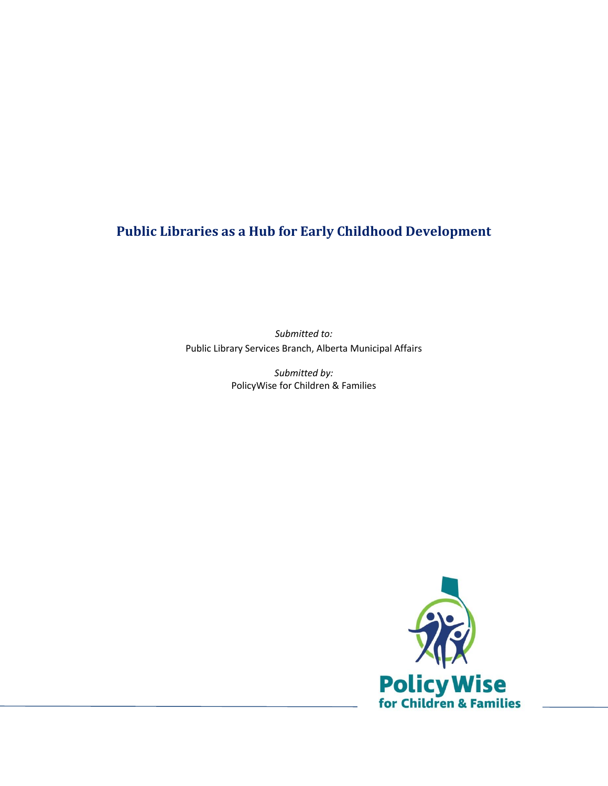# **Public Libraries as a Hub for Early Childhood Development**

*Submitted to:* Public Library Services Branch, Alberta Municipal Affairs

> *Submitted by:* PolicyWise for Children & Families

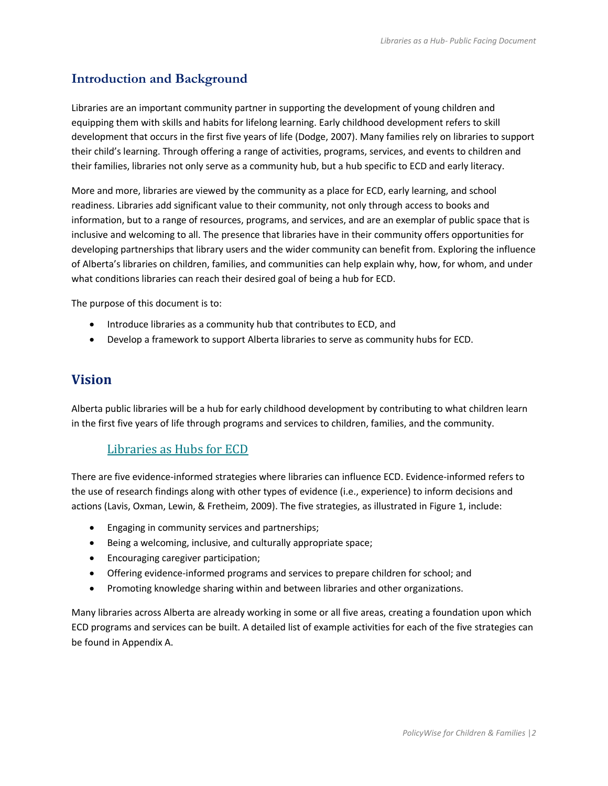## **Introduction and Background**

Libraries are an important community partner in supporting the development of young children and equipping them with skills and habits for lifelong learning. Early childhood development refers to skill development that occurs in the first five years of life (Dodge, 2007). Many families rely on libraries to support their child's learning. Through offering a range of activities, programs, services, and events to children and their families, libraries not only serve as a community hub, but a hub specific to ECD and early literacy.

More and more, libraries are viewed by the community as a place for ECD, early learning, and school readiness. Libraries add significant value to their community, not only through access to books and information, but to a range of resources, programs, and services, and are an exemplar of public space that is inclusive and welcoming to all. The presence that libraries have in their community offers opportunities for developing partnerships that library users and the wider community can benefit from. Exploring the influence of Alberta's libraries on children, families, and communities can help explain why, how, for whom, and under what conditions libraries can reach their desired goal of being a hub for ECD.

The purpose of this document is to:

- Introduce libraries as a community hub that contributes to ECD, and
- Develop a framework to support Alberta libraries to serve as community hubs for ECD.

## **Vision**

Alberta public libraries will be a hub for early childhood development by contributing to what children learn in the first five years of life through programs and services to children, families, and the community.

### Libraries as Hubs for ECD

There are five evidence-informed strategies where libraries can influence ECD. Evidence-informed refers to the use of research findings along with other types of evidence (i.e., experience) to inform decisions and actions (Lavis, Oxman, Lewin, & Fretheim, 2009). The five strategies, as illustrated in Figure 1, include:

- Engaging in community services and partnerships;
- Being a welcoming, inclusive, and culturally appropriate space;
- **•** Encouraging caregiver participation;
- Offering evidence-informed programs and services to prepare children for school; and
- Promoting knowledge sharing within and between libraries and other organizations.

Many libraries across Alberta are already working in some or all five areas, creating a foundation upon which ECD programs and services can be built. A detailed list of example activities for each of the five strategies can be found in Appendix A.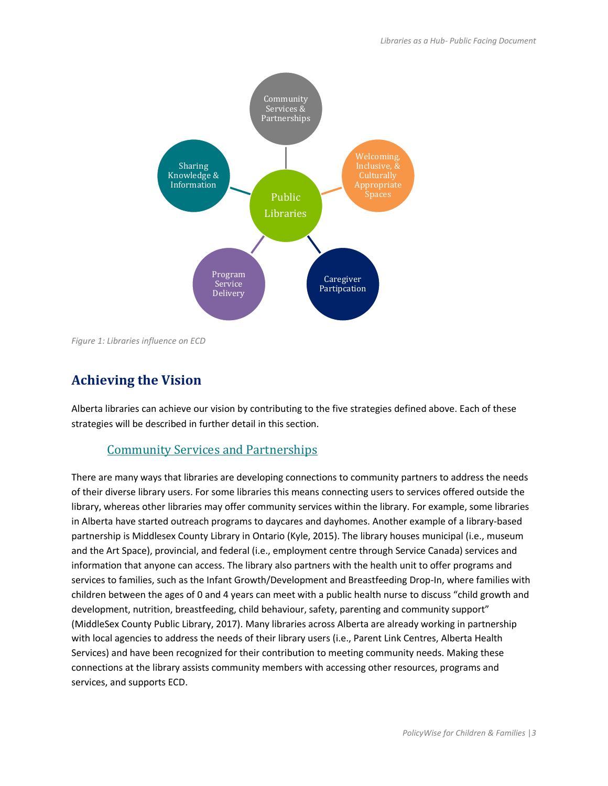

*Figure 1: Libraries influence on ECD*

# **Achieving the Vision**

Alberta libraries can achieve our vision by contributing to the five strategies defined above. Each of these strategies will be described in further detail in this section.

### Community Services and Partnerships

There are many ways that libraries are developing connections to community partners to address the needs of their diverse library users. For some libraries this means connecting users to services offered outside the library, whereas other libraries may offer community services within the library. For example, some libraries in Alberta have started outreach programs to daycares and dayhomes. Another example of a library-based partnership is Middlesex County Library in Ontario (Kyle, 2015). The library houses municipal (i.e., museum and the Art Space), provincial, and federal (i.e., employment centre through Service Canada) services and information that anyone can access. The library also partners with the health unit to offer programs and services to families, such as the Infant Growth/Development and Breastfeeding Drop-In, where families with children between the ages of 0 and 4 years can meet with a public health nurse to discuss "child growth and development, nutrition, breastfeeding, child behaviour, safety, parenting and community support" (MiddleSex County Public Library, 2017). Many libraries across Alberta are already working in partnership with local agencies to address the needs of their library users (i.e., Parent Link Centres, Alberta Health Services) and have been recognized for their contribution to meeting community needs. Making these connections at the library assists community members with accessing other resources, programs and services, and supports ECD.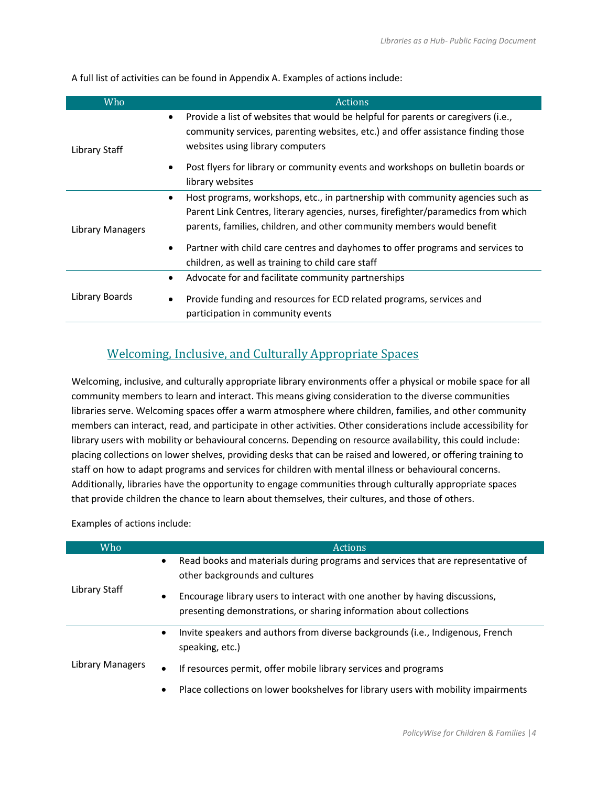A full list of activities can be found in Appendix A. Examples of actions include:

| Who              | <b>Actions</b>                                                                                                                                                                                                                                     |
|------------------|----------------------------------------------------------------------------------------------------------------------------------------------------------------------------------------------------------------------------------------------------|
| Library Staff    | Provide a list of websites that would be helpful for parents or caregivers (i.e.,<br>٠<br>community services, parenting websites, etc.) and offer assistance finding those<br>websites using library computers                                     |
|                  | Post flyers for library or community events and workshops on bulletin boards or<br>$\bullet$<br>library websites                                                                                                                                   |
| Library Managers | Host programs, workshops, etc., in partnership with community agencies such as<br>٠<br>Parent Link Centres, literary agencies, nurses, firefighter/paramedics from which<br>parents, families, children, and other community members would benefit |
|                  | Partner with child care centres and dayhomes to offer programs and services to<br>$\bullet$<br>children, as well as training to child care staff                                                                                                   |
|                  | Advocate for and facilitate community partnerships<br>٠                                                                                                                                                                                            |
| Library Boards   | Provide funding and resources for ECD related programs, services and<br>$\bullet$<br>participation in community events                                                                                                                             |

## Welcoming, Inclusive, and Culturally Appropriate Spaces

Welcoming, inclusive, and culturally appropriate library environments offer a physical or mobile space for all community members to learn and interact. This means giving consideration to the diverse communities libraries serve. Welcoming spaces offer a warm atmosphere where children, families, and other community members can interact, read, and participate in other activities. Other considerations include accessibility for library users with mobility or behavioural concerns. Depending on resource availability, this could include: placing collections on lower shelves, providing desks that can be raised and lowered, or offering training to staff on how to adapt programs and services for children with mental illness or behavioural concerns. Additionally, libraries have the opportunity to engage communities through culturally appropriate spaces that provide children the chance to learn about themselves, their cultures, and those of others.

Examples of actions include:

| <b>Who</b>       | <b>Actions</b>                                                                                                                                                  |
|------------------|-----------------------------------------------------------------------------------------------------------------------------------------------------------------|
| Library Staff    | Read books and materials during programs and services that are representative of<br>$\bullet$<br>other backgrounds and cultures                                 |
|                  | Encourage library users to interact with one another by having discussions,<br>$\bullet$<br>presenting demonstrations, or sharing information about collections |
| Library Managers | Invite speakers and authors from diverse backgrounds (i.e., Indigenous, French<br>$\bullet$<br>speaking, etc.)                                                  |
|                  | If resources permit, offer mobile library services and programs<br>$\bullet$                                                                                    |
|                  | Place collections on lower bookshelves for library users with mobility impairments<br>$\bullet$                                                                 |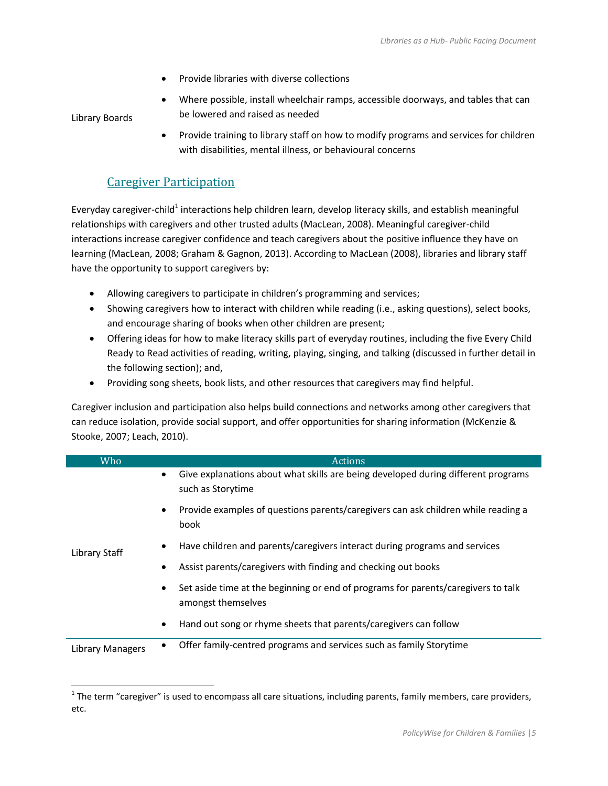- Provide libraries with diverse collections
- Where possible, install wheelchair ramps, accessible doorways, and tables that can be lowered and raised as needed

Library Boards

 $\overline{a}$ 

 Provide training to library staff on how to modify programs and services for children with disabilities, mental illness, or behavioural concerns

#### Caregiver Participation

Everyday caregiver-child<sup>1</sup> interactions help children learn, develop literacy skills, and establish meaningful relationships with caregivers and other trusted adults (MacLean, 2008). Meaningful caregiver-child interactions increase caregiver confidence and teach caregivers about the positive influence they have on learning (MacLean, 2008; Graham & Gagnon, 2013). According to MacLean (2008), libraries and library staff have the opportunity to support caregivers by:

- Allowing caregivers to participate in children's programming and services;
- Showing caregivers how to interact with children while reading (i.e., asking questions), select books, and encourage sharing of books when other children are present;
- Offering ideas for how to make literacy skills part of everyday routines, including the five Every Child Ready to Read activities of reading, writing, playing, singing, and talking (discussed in further detail in the following section); and,
- Providing song sheets, book lists, and other resources that caregivers may find helpful.

Caregiver inclusion and participation also helps build connections and networks among other caregivers that can reduce isolation, provide social support, and offer opportunities for sharing information (McKenzie & Stooke, 2007; Leach, 2010).

| Who                     | <b>Actions</b>                                                                                                      |
|-------------------------|---------------------------------------------------------------------------------------------------------------------|
| Library Staff           | Give explanations about what skills are being developed during different programs<br>$\bullet$<br>such as Storytime |
|                         | Provide examples of questions parents/caregivers can ask children while reading a<br>$\bullet$<br>book              |
|                         | Have children and parents/caregivers interact during programs and services<br>٠                                     |
|                         | Assist parents/caregivers with finding and checking out books                                                       |
|                         | Set aside time at the beginning or end of programs for parents/caregivers to talk<br>amongst themselves             |
|                         | Hand out song or rhyme sheets that parents/caregivers can follow<br>٠                                               |
| <b>Library Managers</b> | Offer family-centred programs and services such as family Storytime<br>٠                                            |

 $1$  The term "caregiver" is used to encompass all care situations, including parents, family members, care providers, etc.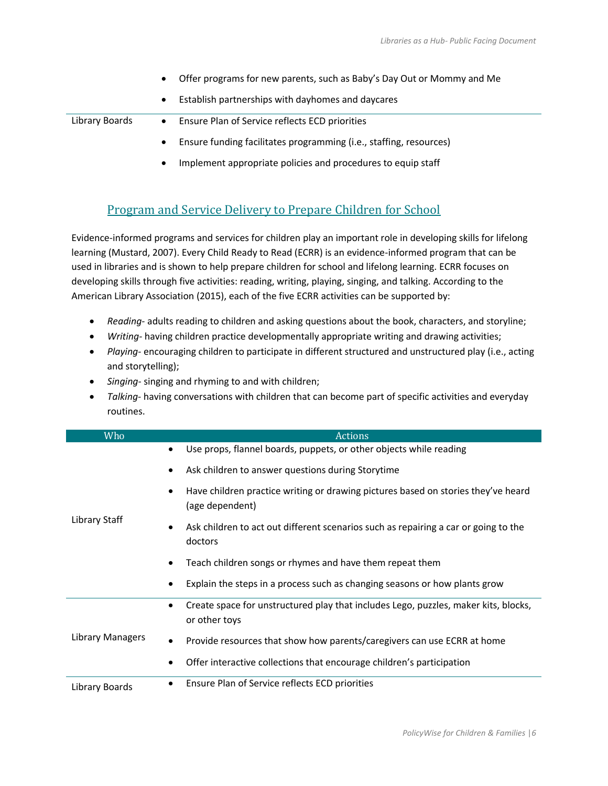|                | Offer programs for new parents, such as Baby's Day Out or Mommy and Me |
|----------------|------------------------------------------------------------------------|
|                | Establish partnerships with dayhomes and daycares                      |
| Library Boards | Ensure Plan of Service reflects ECD priorities<br>$\bullet$            |
|                | Ensure funding facilitates programming (i.e., staffing, resources)     |
|                | Implement appropriate policies and procedures to equip staff           |

#### Program and Service Delivery to Prepare Children for School

Evidence-informed programs and services for children play an important role in developing skills for lifelong learning (Mustard, 2007). Every Child Ready to Read (ECRR) is an evidence-informed program that can be used in libraries and is shown to help prepare children for school and lifelong learning. ECRR focuses on developing skills through five activities: reading, writing, playing, singing, and talking. According to the American Library Association (2015), each of the five ECRR activities can be supported by:

- *Reading-* adults reading to children and asking questions about the book, characters, and storyline;
- *Writing-* having children practice developmentally appropriate writing and drawing activities;
- *Playing-* encouraging children to participate in different structured and unstructured play (i.e., acting and storytelling);
- *Singing-* singing and rhyming to and with children;
- *Talking-* having conversations with children that can become part of specific activities and everyday routines.

| Who              | <b>Actions</b>                                                                                                    |
|------------------|-------------------------------------------------------------------------------------------------------------------|
|                  | Use props, flannel boards, puppets, or other objects while reading<br>٠                                           |
|                  | Ask children to answer questions during Storytime                                                                 |
|                  | Have children practice writing or drawing pictures based on stories they've heard<br>$\bullet$<br>(age dependent) |
| Library Staff    | Ask children to act out different scenarios such as repairing a car or going to the<br>٠<br>doctors               |
|                  | Teach children songs or rhymes and have them repeat them                                                          |
|                  | Explain the steps in a process such as changing seasons or how plants grow<br>٠                                   |
|                  | Create space for unstructured play that includes Lego, puzzles, maker kits, blocks,<br>$\bullet$<br>or other toys |
| Library Managers | Provide resources that show how parents/caregivers can use ECRR at home<br>٠                                      |
|                  | Offer interactive collections that encourage children's participation                                             |
| Library Boards   | Ensure Plan of Service reflects ECD priorities                                                                    |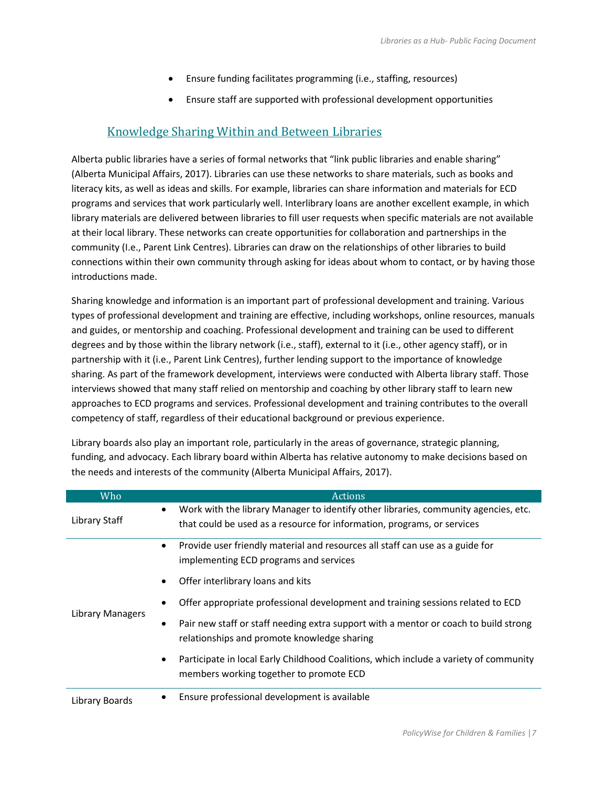- Ensure funding facilitates programming (i.e., staffing, resources)
- Ensure staff are supported with professional development opportunities

#### Knowledge Sharing Within and Between Libraries

Alberta public libraries have a series of formal networks that "link public libraries and enable sharing" (Alberta Municipal Affairs, 2017). Libraries can use these networks to share materials, such as books and literacy kits, as well as ideas and skills. For example, libraries can share information and materials for ECD programs and services that work particularly well. Interlibrary loans are another excellent example, in which library materials are delivered between libraries to fill user requests when specific materials are not available at their local library. These networks can create opportunities for collaboration and partnerships in the community (I.e., Parent Link Centres). Libraries can draw on the relationships of other libraries to build connections within their own community through asking for ideas about whom to contact, or by having those introductions made.

Sharing knowledge and information is an important part of professional development and training. Various types of professional development and training are effective, including workshops, online resources, manuals and guides, or mentorship and coaching. Professional development and training can be used to different degrees and by those within the library network (i.e., staff), external to it (i.e., other agency staff), or in partnership with it (i.e., Parent Link Centres), further lending support to the importance of knowledge sharing. As part of the framework development, interviews were conducted with Alberta library staff. Those interviews showed that many staff relied on mentorship and coaching by other library staff to learn new approaches to ECD programs and services. Professional development and training contributes to the overall competency of staff, regardless of their educational background or previous experience.

Library boards also play an important role, particularly in the areas of governance, strategic planning, funding, and advocacy. Each library board within Alberta has relative autonomy to make decisions based on the needs and interests of the community (Alberta Municipal Affairs, 2017).

| Who              | Actions                                                                                            |
|------------------|----------------------------------------------------------------------------------------------------|
| Library Staff    | Work with the library Manager to identify other libraries, community agencies, etc.<br>$\bullet$   |
|                  | that could be used as a resource for information, programs, or services                            |
| Library Managers | Provide user friendly material and resources all staff can use as a guide for<br>$\bullet$         |
|                  | implementing ECD programs and services                                                             |
|                  | Offer interlibrary loans and kits                                                                  |
|                  | Offer appropriate professional development and training sessions related to ECD                    |
|                  | Pair new staff or staff needing extra support with a mentor or coach to build strong<br>٠          |
|                  | relationships and promote knowledge sharing                                                        |
|                  | Participate in local Early Childhood Coalitions, which include a variety of community<br>$\bullet$ |
|                  | members working together to promote ECD                                                            |
| Library Boards   | Ensure professional development is available                                                       |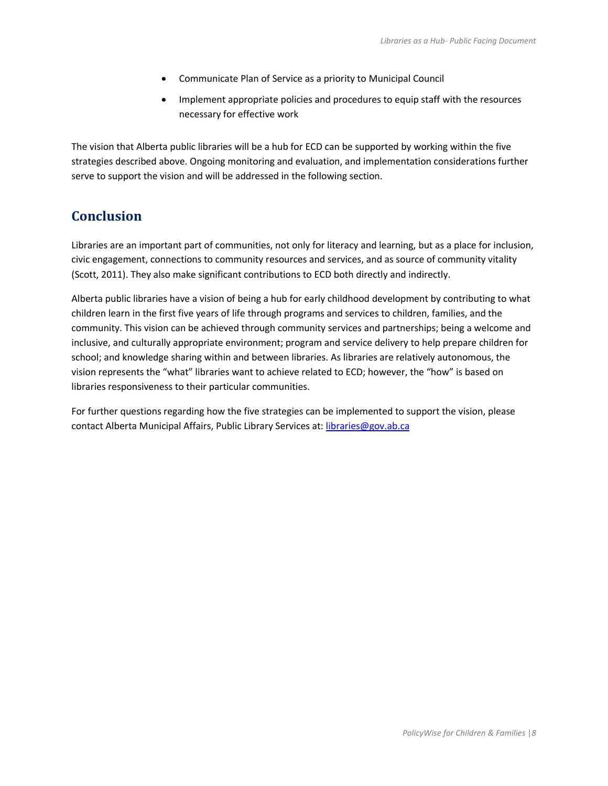- Communicate Plan of Service as a priority to Municipal Council
- Implement appropriate policies and procedures to equip staff with the resources necessary for effective work

The vision that Alberta public libraries will be a hub for ECD can be supported by working within the five strategies described above. Ongoing monitoring and evaluation, and implementation considerations further serve to support the vision and will be addressed in the following section.

### **Conclusion**

Libraries are an important part of communities, not only for literacy and learning, but as a place for inclusion, civic engagement, connections to community resources and services, and as source of community vitality (Scott, 2011). They also make significant contributions to ECD both directly and indirectly.

Alberta public libraries have a vision of being a hub for early childhood development by contributing to what children learn in the first five years of life through programs and services to children, families, and the community. This vision can be achieved through community services and partnerships; being a welcome and inclusive, and culturally appropriate environment; program and service delivery to help prepare children for school; and knowledge sharing within and between libraries. As libraries are relatively autonomous, the vision represents the "what" libraries want to achieve related to ECD; however, the "how" is based on libraries responsiveness to their particular communities.

For further questions regarding how the five strategies can be implemented to support the vision, please contact Alberta Municipal Affairs, Public Library Services at: [libraries@gov.ab.ca](mailto:libraries@gov.ab.ca)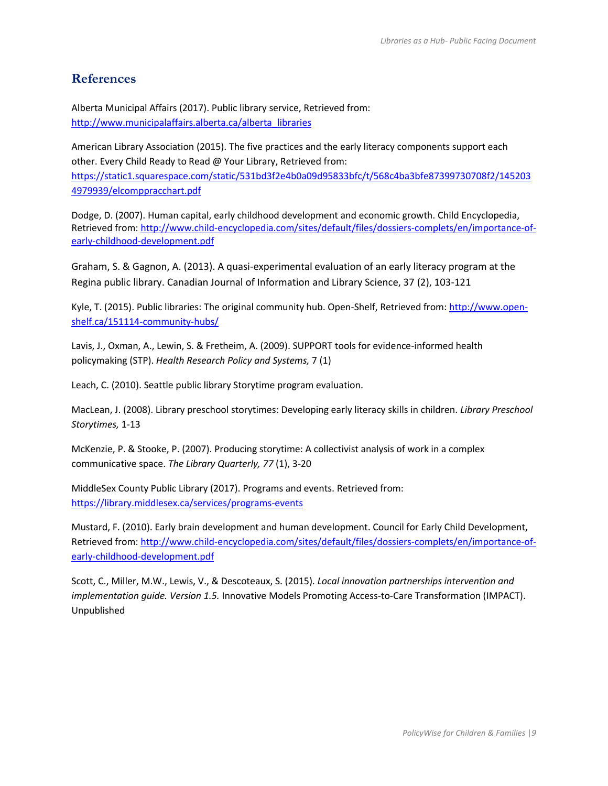### **References**

Alberta Municipal Affairs (2017). Public library service, Retrieved from: [http://www.municipalaffairs.alberta.ca/alberta\\_libraries](http://www.municipalaffairs.alberta.ca/alberta_libraries)

American Library Association (2015). The five practices and the early literacy components support each other. Every Child Ready to Read @ Your Library, Retrieved from: [https://static1.squarespace.com/static/531bd3f2e4b0a09d95833bfc/t/568c4ba3bfe87399730708f2/145203](https://static1.squarespace.com/static/531bd3f2e4b0a09d95833bfc/t/568c4ba3bfe87399730708f2/1452034979939/elcomppracchart.pdf) [4979939/elcomppracchart.pdf](https://static1.squarespace.com/static/531bd3f2e4b0a09d95833bfc/t/568c4ba3bfe87399730708f2/1452034979939/elcomppracchart.pdf)

Dodge, D. (2007). Human capital, early childhood development and economic growth. Child Encyclopedia, Retrieved from[: http://www.child-encyclopedia.com/sites/default/files/dossiers-complets/en/importance-of](http://www.child-encyclopedia.com/sites/default/files/dossiers-complets/en/importance-of-early-childhood-development.pdf)[early-childhood-development.pdf](http://www.child-encyclopedia.com/sites/default/files/dossiers-complets/en/importance-of-early-childhood-development.pdf)

Graham, S. & Gagnon, A. (2013). A quasi-experimental evaluation of an early literacy program at the Regina public library. Canadian Journal of Information and Library Science, 37 (2), 103-121

Kyle, T. (2015). Public libraries: The original community hub. Open-Shelf, Retrieved from[: http://www.open](http://www.open-shelf.ca/151114-community-hubs/)[shelf.ca/151114-community-hubs/](http://www.open-shelf.ca/151114-community-hubs/)

Lavis, J., Oxman, A., Lewin, S. & Fretheim, A. (2009). SUPPORT tools for evidence-informed health policymaking (STP). *Health Research Policy and Systems,* 7 (1)

Leach, C. (2010). Seattle public library Storytime program evaluation.

MacLean, J. (2008). Library preschool storytimes: Developing early literacy skills in children. *Library Preschool Storytimes,* 1-13

McKenzie, P. & Stooke, P. (2007). Producing storytime: A collectivist analysis of work in a complex communicative space. *The Library Quarterly, 77* (1), 3-20

MiddleSex County Public Library (2017). Programs and events. Retrieved from: <https://library.middlesex.ca/services/programs-events>

Mustard, F. (2010). Early brain development and human development. Council for Early Child Development, Retrieved from[: http://www.child-encyclopedia.com/sites/default/files/dossiers-complets/en/importance-of](http://www.child-encyclopedia.com/sites/default/files/dossiers-complets/en/importance-of-early-childhood-development.pdf)[early-childhood-development.pdf](http://www.child-encyclopedia.com/sites/default/files/dossiers-complets/en/importance-of-early-childhood-development.pdf)

Scott, C., Miller, M.W., Lewis, V., & Descoteaux, S. (2015). *Local innovation partnerships intervention and implementation guide. Version 1.5.* Innovative Models Promoting Access-to-Care Transformation (IMPACT). Unpublished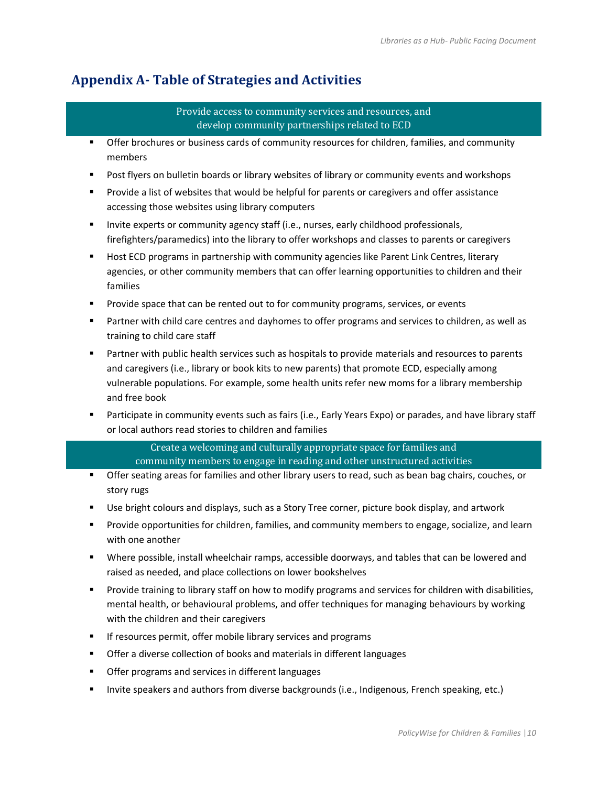# **Appendix A- Table of Strategies and Activities**

#### Provide access to community services and resources, and develop community partnerships related to ECD

- **•** Offer brochures or business cards of community resources for children, families, and community members
- **Post flyers on bulletin boards or library websites of library or community events and workshops**
- **Provide a list of websites that would be helpful for parents or caregivers and offer assistance** accessing those websites using library computers
- **Invite experts or community agency staff (i.e., nurses, early childhood professionals,** firefighters/paramedics) into the library to offer workshops and classes to parents or caregivers
- **Host ECD programs in partnership with community agencies like Parent Link Centres, literary** agencies, or other community members that can offer learning opportunities to children and their families
- **Provide space that can be rented out to for community programs, services, or events**
- **Partner with child care centres and dayhomes to offer programs and services to children, as well as** training to child care staff
- **Partner with public health services such as hospitals to provide materials and resources to parents** and caregivers (i.e., library or book kits to new parents) that promote ECD, especially among vulnerable populations. For example, some health units refer new moms for a library membership and free book
- Participate in community events such as fairs (i.e., Early Years Expo) or parades, and have library staff or local authors read stories to children and families

Create a welcoming and culturally appropriate space for families and community members to engage in reading and other unstructured activities

- Offer seating areas for families and other library users to read, such as bean bag chairs, couches, or story rugs
- **Use bright colours and displays, such as a Story Tree corner, picture book display, and artwork**
- Provide opportunities for children, families, and community members to engage, socialize, and learn with one another
- Where possible, install wheelchair ramps, accessible doorways, and tables that can be lowered and raised as needed, and place collections on lower bookshelves
- **Provide training to library staff on how to modify programs and services for children with disabilities,** mental health, or behavioural problems, and offer techniques for managing behaviours by working with the children and their caregivers
- **If resources permit, offer mobile library services and programs**
- **•** Offer a diverse collection of books and materials in different languages
- **•** Offer programs and services in different languages
- **Invite speakers and authors from diverse backgrounds (i.e., Indigenous, French speaking, etc.)**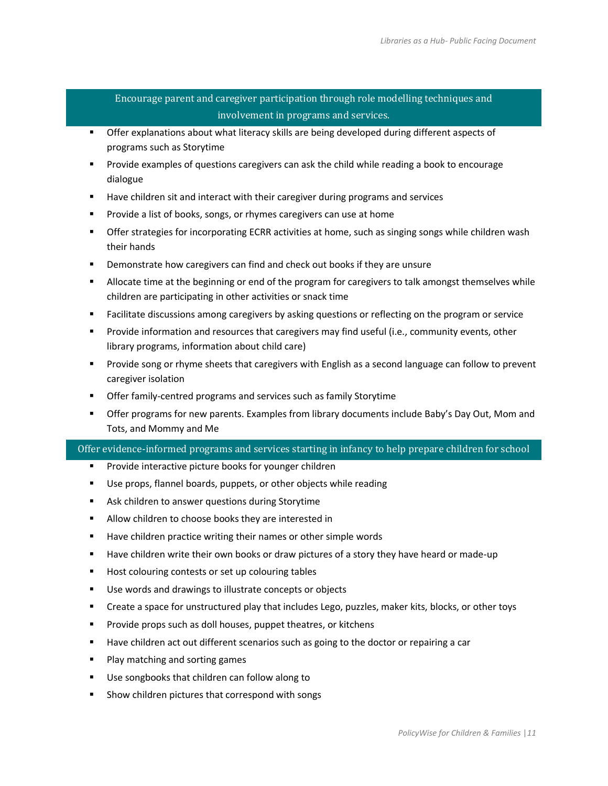#### Encourage parent and caregiver participation through role modelling techniques and involvement in programs and services.

- **The State of Explanations about what literacy skills are being developed during different aspects of** programs such as Storytime
- Provide examples of questions caregivers can ask the child while reading a book to encourage dialogue
- **Have children sit and interact with their caregiver during programs and services**
- **Provide a list of books, songs, or rhymes caregivers can use at home**
- **The Strategies for incorporating ECRR activities at home, such as singing songs while children wash** their hands
- **Demonstrate how caregivers can find and check out books if they are unsure**
- Allocate time at the beginning or end of the program for caregivers to talk amongst themselves while children are participating in other activities or snack time
- **Facilitate discussions among caregivers by asking questions or reflecting on the program or service**
- **Provide information and resources that caregivers may find useful (i.e., community events, other** library programs, information about child care)
- **Provide song or rhyme sheets that caregivers with English as a second language can follow to prevent** caregiver isolation
- **Offer family-centred programs and services such as family Storytime**
- **F** Offer programs for new parents. Examples from library documents include Baby's Day Out, Mom and Tots, and Mommy and Me

#### Offer evidence-informed programs and services starting in infancy to help prepare children for school

- **Provide interactive picture books for younger children**
- Use props, flannel boards, puppets, or other objects while reading
- **Ask children to answer questions during Storytime**
- **Allow children to choose books they are interested in**
- Have children practice writing their names or other simple words
- **Have children write their own books or draw pictures of a story they have heard or made-up**
- Host colouring contests or set up colouring tables
- Use words and drawings to illustrate concepts or objects
- Create a space for unstructured play that includes Lego, puzzles, maker kits, blocks, or other toys
- **Provide props such as doll houses, puppet theatres, or kitchens**
- **Have children act out different scenarios such as going to the doctor or repairing a car**
- **Play matching and sorting games**
- Use songbooks that children can follow along to
- Show children pictures that correspond with songs